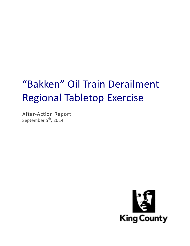# "Bakken" Oil Train Derailment Regional Tabletop Exercise

After-Action Report September  $5^{\text{th}}$ , 2014

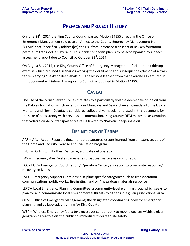## **PREFACE AND PROJECT HISTORY**

On June 24<sup>th</sup>, 2014 the King County Council passed Motion 14155 directing the Office of Emergency Management to create an Annex to the County Emergency Management Plan "CEMP" that "specifically address[es] the risk from increased transport of Bakken formation petroleum transport[ed] by rail". This incident-specific plan is to be accompanied by a needs assessment report due to Council by October  $31<sup>st</sup>$ , 2014.

On August 5<sup>th</sup>, 2014, the King County Office of Emergency Management facilitated a tabletop exercise which outlined a scenario involving the derailment and subsequent explosion of a train tanker carrying "Bakken" deep-shale oil. The lessons learned from that exercise as captured in this document will inform the report to Council as outlined in Motion 14155.

#### **CAVEAT**

The use of the term "Bakken" oil as it relates to a particularly volatile deep-shale crude oil from the Bakken formation which extends from Manitoba and Saskatchewan Canada into the US via Montana and North Dakota, is considered colloquial vernacular and used in this document for the sake of consistency with previous documentation. King County OEM makes no assumptions that volatile crude oil transported via rail is limited to "Bakken" deep-shale oil.

## **DEFINITIONS OF TERMS**

AAR – After Action Report; a document that captures lessons learned from an exercise, part of the Homeland Security Exercise and Evaluation Program

BNSF – Burlington Northern Santa Fe; a private rail operator

EAS – Emergency Alert System; messages broadcast via television and radio

ECC / EOC – Emergency Coordination / Operation Center; a location to coordinate response / recovery activities

ESFs – Emergency Support Functions; discipline specific categories such as transportation, communications, public works, firefighting, and oil / hazardous materials response

LEPC – Local Emergency Planning Committee; a community-level planning group which seeks to plan for and communicate local environmental threats to citizens in a given jurisdictional area

OEM – Office of Emergency Management; the designated coordinating body for emergency planning and collaborative training for King County

WEA – Wireless Emergency Alert; text-messages sent directly to mobile devices within a given geographic area to alert the public to immediate threats to life safety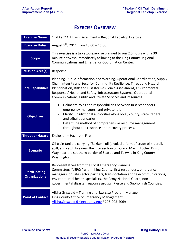## **EXERCISE OVERVIEW**

| <b>Exercise Name</b>                         | "Bakken" Oil Train Derailment - Regional Tabletop Exercise                                                                                                                                                                                                                                                                                                       |
|----------------------------------------------|------------------------------------------------------------------------------------------------------------------------------------------------------------------------------------------------------------------------------------------------------------------------------------------------------------------------------------------------------------------|
| <b>Exercise Dates</b>                        | August $5^{th}$ , 2014 from 13:00 - 16:00                                                                                                                                                                                                                                                                                                                        |
| <b>Scope</b>                                 | This exercise is a tabletop exercise planned to run 2.5 hours with a 30<br>minute hotwash immediately following at the King County Regional<br>Communications and Emergency Coordination Center.                                                                                                                                                                 |
| <b>Mission Area(s)</b>                       | Response                                                                                                                                                                                                                                                                                                                                                         |
| <b>Core Capabilities</b>                     | Planning, Public Information and Warning, Operational Coordination, Supply<br>Chain Integrity and Security, Community Resilience, Threat and Hazard<br>Identification, Risk and Disaster Resilience Assessment, Environmental<br>Response / Health and Safety, Infrastructure Systems, Operational<br>Communications, Public and Private Services and Resources. |
| <b>Objectives</b>                            | 1) Delineate roles and responsibilities between first responders,<br>emergency managers, and private rail.<br>2) Clarify jurisdictional authorities along local, county, state, federal<br>and tribal boundaries.<br>3) Determine method of comprehensive resource management<br>throughout the response and recovery process.                                   |
| <b>Threat or Hazard</b>                      | Explosion + Hazmat + Fire                                                                                                                                                                                                                                                                                                                                        |
| <b>Scenario</b>                              | Oil train tankers carrying "Bakken" oil (a volatile form of crude oil), derail,<br>spill, and catch fire near the intersection of I-5 and Martin Luther King Jr.<br>Way near the southern border of Seattle and Tukwila in King County<br>Washington.                                                                                                            |
| <b>Participating</b><br><b>Organizations</b> | Representatives from the Local Emergency Planning<br>Committees "LEPCs" within King County, first responders, emergency<br>managers, private sector partners, transportation and telecommunications,<br>environmental health specialists, the Army National Guard, non-<br>governmental disaster response groups, Pierce and Snohomish Counties.                 |
| <b>Point of Contact</b>                      | Alisha Griswold - Training and Exercise Program Manager<br>King County Office of Emergency Management<br>Alisha.Griswold@kingcounty.gov / 206-205-4069                                                                                                                                                                                                           |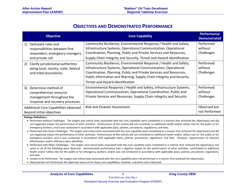#### **OBJECTIVES AND DEMONSTRATED PERFORMANCE**

| <b>Objective</b>                                                                                                     | <b>Core Capability</b>                                                                                                                                                                                                                                                                                                | <b>Performance</b><br><b>Demonstrated</b> |
|----------------------------------------------------------------------------------------------------------------------|-----------------------------------------------------------------------------------------------------------------------------------------------------------------------------------------------------------------------------------------------------------------------------------------------------------------------|-------------------------------------------|
| Delineate roles and<br>1)<br>responsibilities between first<br>responders, emergency managers,<br>and private rail.  | Community Resilience, Environmental Response / Health and Safety,<br>Infrastructure Systems, Operational Communication, Operational<br>Coordination, Planning, Public and Private Services and Resources,<br>Supply Chain Integrity and Security, Threat and Hazard Identification                                    | Performed<br>without<br>Challenges        |
| Clarify jurisdictional authorities<br>2)<br>along local, county, state, federal<br>and tribal boundaries.            | Community Resilience, Environmental Response / Health and Safety,<br>Infrastructure Systems, Operational Communication, Operational<br>Coordination, Planning, Public and Private Services and Resources,<br>Public Information and Warning, Supply Chain Integrity and Security,<br>Threat and Hazard Identification | Performed<br>without<br>Challenges        |
| 3)<br>Determine method of<br>comprehensive resource<br>management throughout the<br>response and recovery processes. | Environmental Response / Health and Safety, Infrastructure Systems,<br>Operational Communication, Operational Coordination, Public and<br>Private Services and Resources, Supply Chain Integrity and Security                                                                                                         | Performed<br>without<br>Challenges        |
| Additional Core Capabilities observed<br>beyond initial objectives                                                   | <b>Risk and Disaster Assessment</b>                                                                                                                                                                                                                                                                                   | Observed but<br>not Performed             |

**Ratings Definitions:**

 Performed without Challenges: The targets and critical tasks associated with the core capability were completed in a manner that achieved the objective(s) and did not negatively impact the performance of other activities. Performance of this activity did not contribute to additional health and/or safety risks for the public or for emergency workers, and it was conducted in accordance with applicable plans, policies, procedures, regulations, and laws.

- Performed with Some Challenges: The targets and critical tasks associated with the core capability were completed in a manner that achieved the objective(s) and did not negatively impact the performance of other activities. Performance of this activity did not contribute to additional health and/or safety risks for the public or for emergency workers, and it was conducted in accordance with applicable plans, policies, procedures, regulations, and laws. However, opportunities to enhance effectiveness and/or efficiency were identified.
- Performed with Major Challenges: The targets and critical tasks associated with the core capability were completed in a manner that achieved the objective(s), but some or all of the following were observed: demonstrated performance had a negative impact on the performance of other activities; contributed to additional health and/or safety risks for the public or for emergency workers; and/or was not conducted in accordance with applicable plans, policies, procedures, regulations, and laws.
- Unable to be Performed: The targets and critical tasks associated with the core capability were not performed in a manner that achieved the objective(s).
- Observed but not Performed: No objectives were set for these core capabilities, however, outcomes were observed.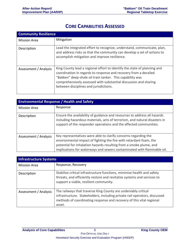### **CORE CAPABILITIES ASSESSED**

| <b>Community Resilience</b> |                                                                                                                                                                                                                                                                                                                         |
|-----------------------------|-------------------------------------------------------------------------------------------------------------------------------------------------------------------------------------------------------------------------------------------------------------------------------------------------------------------------|
| <b>Mission Area</b>         | Mitigation                                                                                                                                                                                                                                                                                                              |
| Description                 | Lead the integrated effort to recognize, understand, communicate, plan,<br>and address risks so that the community can develop a set of actions to<br>accomplish mitigation and improve resilience.                                                                                                                     |
| Assessment / Analysis       | King County lead a regional effort to identify the state of planning and<br>coordination in regards to response and recovery from a derailed<br>"Bakken" deep-shale oil train tanker. This capability was<br>comprehensively assessed with substantial discussion and sharing<br>between disciplines and jurisdictions. |

| <b>Environmental Response / Health and Safety</b> |                                                                                                                                                                                                                                                                                       |
|---------------------------------------------------|---------------------------------------------------------------------------------------------------------------------------------------------------------------------------------------------------------------------------------------------------------------------------------------|
| <b>Mission Area</b>                               | Response                                                                                                                                                                                                                                                                              |
| Description                                       | Ensure the availability of guidance and resources to address all hazards<br>including hazardous materials, acts of terrorism, and natural disasters in<br>support of the responder operations and the affected communities.                                                           |
| Assessment / Analysis                             | Key representatives were able to clarify concerns regarding the<br>environmental impact of fighting the fire with retardant foam, the<br>potential for inhalation hazards resulting from a smoke plume, and<br>implications for waterways and sewers contaminated with flammable oil. |

| <b>Infrastructure Systems</b> |                                                                                                                                                                                                                               |
|-------------------------------|-------------------------------------------------------------------------------------------------------------------------------------------------------------------------------------------------------------------------------|
| <b>Mission Area</b>           | Response, Recovery                                                                                                                                                                                                            |
| Description                   | Stabilize critical infrastructure functions, minimize health and safety<br>threats, and efficiently restore and revitalize systems and services to<br>support a viable, resilient community.                                  |
| Assessment / Analysis         | The railways that traverse King County are undeniably critical<br>infrastructure. Stakeholders, including private-rail operators, discussed<br>methods of coordinating response and recovery of this vital regional<br>asset. |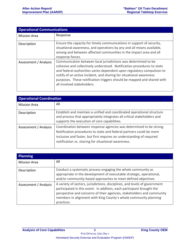| <b>Operational Communications</b> |                                                                                                                                                                                                                                                                                                                                                                                                   |
|-----------------------------------|---------------------------------------------------------------------------------------------------------------------------------------------------------------------------------------------------------------------------------------------------------------------------------------------------------------------------------------------------------------------------------------------------|
| <b>Mission Area</b>               | Response                                                                                                                                                                                                                                                                                                                                                                                          |
| Description                       | Ensure the capacity for timely communications in support of security,<br>situational awareness, and operations by any and all means available,<br>among and between affected communities in the impact area and all<br>response forces.                                                                                                                                                           |
| Assessment / Analysis             | Communication between local jurisdictions was determined to be<br>cohesive and collectively understood. Notification procedures to state<br>and federal authorities varies dependent upon regulatory compulsion to<br>notify of an active incident, and sharing for situational awareness<br>purposes. These notification triggers should be mapped and shared with<br>all involved stakeholders. |

| <b>Operational Coordination</b> |                                                                                                                                                                                                                                                                            |
|---------------------------------|----------------------------------------------------------------------------------------------------------------------------------------------------------------------------------------------------------------------------------------------------------------------------|
| <b>Mission Area</b>             | All                                                                                                                                                                                                                                                                        |
| Description                     | Establish and maintain a unified and coordinated operational structure<br>and process that appropriately integrates all critical stakeholders and<br>supports the execution of core capabilities.                                                                          |
| Assessment / Analysis           | Coordination between response agencies was determined to be strong.<br>Notification procedures to state and federal partners could be more<br>inclusive and faster, but first requires an understanding of required<br>notification vs. sharing for situational awareness. |

| <b>Planning</b>       |                                                                                                                                                                                                                                                                                                                 |
|-----------------------|-----------------------------------------------------------------------------------------------------------------------------------------------------------------------------------------------------------------------------------------------------------------------------------------------------------------|
| <b>Mission Area</b>   | All                                                                                                                                                                                                                                                                                                             |
| Description           | Conduct a systematic process engaging the whole community as<br>appropriate in the development of executable strategic, operational,<br>and/or community-based approaches to meet defined objectives.                                                                                                           |
| Assessment / Analysis | A variety of sectors, jurisdictions, disciplines, and levels of government<br>participated in this event. In addition, each participant brought the<br>perspective and concerns of their agencies, stakeholders and community<br>members in alignment with King County's whole community planning<br>practices. |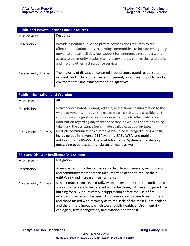| <b>Public and Private Services and Resources</b> |                                                                                                                                                                                                                                                                                                                                                     |
|--------------------------------------------------|-----------------------------------------------------------------------------------------------------------------------------------------------------------------------------------------------------------------------------------------------------------------------------------------------------------------------------------------------------|
| <b>Mission Area</b>                              | Response                                                                                                                                                                                                                                                                                                                                            |
| Description                                      | Provide essential public and private services and resources to the<br>affected population and surrounding communities, to include emergency<br>power to critical facilities, fuel support for emergency responders, and<br>access to community staples (e.g., grocery stores, pharmacies, and banks)<br>and fire and other first response services. |
| Assessment / Analysis                            | The majority of discussion centered around coordinated response to the<br>incident, and included fire, law enforcement, public health, public works,<br>environmental, and transportation perspectives.                                                                                                                                             |

| <b>Public Information and Warning</b> |                                                                                                                                                                                                                                                                                                                                                                           |
|---------------------------------------|---------------------------------------------------------------------------------------------------------------------------------------------------------------------------------------------------------------------------------------------------------------------------------------------------------------------------------------------------------------------------|
| <b>Mission Area</b>                   | All                                                                                                                                                                                                                                                                                                                                                                       |
| Description                           | Deliver coordinated, prompt, reliable, and actionable information to the<br>whole community through the use of clear, consistent, accessible, and<br>culturally and linguistically appropriate methods to effectively relay<br>information regarding any threat or hazard, as well as the actions being<br>taken and the assistance being made available, as appropriate. |
| Assessment / Analysis                 | Multiple communications platforms would be leveraged during a crisis,<br>including opt-in "reverse-911" systems, EAS / WEA, and mobile<br>notifications via IPAWS. The Joint Information System would develop<br>messaging to be pushed out via social media as well.                                                                                                     |

| <b>Risk and Disaster Resilience Assessment</b> |                                                                                                                                                                                                                                                                                                                                                                                                                                                                                                                    |  |
|------------------------------------------------|--------------------------------------------------------------------------------------------------------------------------------------------------------------------------------------------------------------------------------------------------------------------------------------------------------------------------------------------------------------------------------------------------------------------------------------------------------------------------------------------------------------------|--|
| <b>Mission Area</b>                            | Mitigation                                                                                                                                                                                                                                                                                                                                                                                                                                                                                                         |  |
| Description                                    | Assess risk and disaster resilience so that decision makers, responders,<br>and community members can take informed action to reduce their<br>entity's risk and increase their resilience                                                                                                                                                                                                                                                                                                                          |  |
| Assessment / Analysis                          | Subject matter experts and railway operators noted that the anticipated<br>amount of tankers to be derailed would be three, with an anticipated fire<br>burning for 8-12 hours without suppression before the use of fire<br>retardant foam would be used. This gave a clear picture to responders<br>and those tasked with recovery as to the scale of the most likely incident<br>and the primary impacts which were (public health, environmental /<br>ecological, traffic congestion, and aviation operations) |  |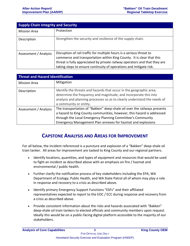| <b>Supply Chain Integrity and Security</b> |                                                                                                                                                                                                                                                                                                   |
|--------------------------------------------|---------------------------------------------------------------------------------------------------------------------------------------------------------------------------------------------------------------------------------------------------------------------------------------------------|
| <b>Mission Area</b>                        | Protection                                                                                                                                                                                                                                                                                        |
| Description                                | Strengthen the security and resilience of the supply chain.                                                                                                                                                                                                                                       |
| Assessment / Analysis                      | Disruption of rail traffic for multiple hours is a serious threat to<br>commerce and transportation within King County. It is clear that this<br>threat is fully appreciated by private railway operators and that they are<br>taking steps to ensure continuity of operations and mitigate risk. |

| <b>Threat and Hazard Identification</b> |                                                                                                                                                                                                                                                                                 |  |  |
|-----------------------------------------|---------------------------------------------------------------------------------------------------------------------------------------------------------------------------------------------------------------------------------------------------------------------------------|--|--|
| <b>Mission Area</b>                     | Mitigation                                                                                                                                                                                                                                                                      |  |  |
| Description                             | Identify the threats and hazards that occur in the geographic area;<br>determine the frequency and magnitude; and incorporate this into<br>analysis and planning processes so as to clearly understand the needs of<br>a community or entity.                                   |  |  |
| Assessment / Analysis                   | The transportation of "Bakken" deep-shale oil over the railways presents<br>a hazard to King County communities, however, this hazard is addressed<br>through the Local Emergency Planning Committee's Community<br>Emergency Management Plan annexes for hazmat and explosions |  |  |

#### **CAPSTONE ANALYSIS AND AREAS FOR IMPROVEMENT**

For all below, the incident referenced is a puncture and explosion of a "Bakken" deep-shale oil train tanker. All areas for improvement are tasked to King County and our regional partners.

- Identify locations, quantities, and types of equipment and resources that would be used to fight an incident as described above with an emphasis on fire / hazmat and environmental / public health.
- Further clarify the notification process of key stakeholders including the EPA, WA Department of Ecology, Public Health, and WA State Patrol all of whom may play a role in response and recovery to a crisis as described above.
- Identify primary Emergency Support Functions "ESFs" and their affiliated representatives expected to report to the EOC / ECC during response and recovery from a crisis as described above.
- Provide consistent information about the risks and hazards associated with "Bakken" deep-shale oil train tankers to elected officials and community members upon request. Ideally this would be on a public-facing digital platform accessible to the majority of our stakeholders.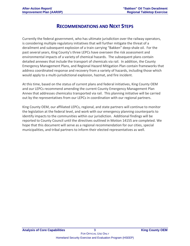#### **RECOMMENDATIONS AND NEXT STEPS**

Currently the federal government, who has ultimate jurisdiction over the railway operators, is considering multiple regulatory initiatives that will further mitigate the threat of a derailment and subsequent explosion of a train carrying "Bakken" deep-shale oil. For the past several years, King County's three LEPCs have overseen the risk assessment and environmental impacts of a variety of chemical hazards. The subsequent plans contain detailed annexes that include the transport of chemicals via rail. In addition, the County Emergency Management Plans, and Regional Hazard Mitigation Plan contain frameworks that address coordinated response and recovery from a variety of hazards, including those which would apply to a multi-jurisdictional explosion, hazmat, and fire incident.

At this time, based on the status of current plans and federal initiatives, King County OEM and our LEPCs recommend amending the current County Emergency Management Plan Annex that addresses chemicalss transported via rail. This planning initiative will be carried out by the representatives from our LEPCs in coordination with our regional partners.

King County OEM, our affiliated LEPCs, regional, and state partners will continue to monitor the legislation at the federal level, and work with our emergency planning counterparts to identify impacts to the communities within our jurisdiction. Additional findings will be reported to County Council until the directives outlined in Motion 14155 are completed. We hope that this document will serve as a regional recommendation for our cities, special municipalities, and tribal partners to inform their elected representatives as well.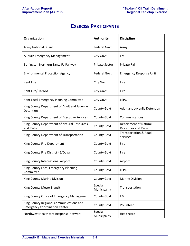## **EXERCISE PARTICIPANTS**

| Organization                                                                    | <b>Authority</b>        | <b>Discipline</b>                                          |
|---------------------------------------------------------------------------------|-------------------------|------------------------------------------------------------|
| <b>Army National Guard</b>                                                      | <b>Federal Govt</b>     | Army                                                       |
| <b>Auburn Emergency Management</b>                                              | <b>City Govt</b>        | EM                                                         |
| Burlington Northern Santa Fe Railway                                            | <b>Private Sector</b>   | Private Rail                                               |
| <b>Environmental Protection Agency</b>                                          | <b>Federal Govt</b>     | <b>Emergency Response Unit</b>                             |
| Kent Fire                                                                       | <b>City Govt</b>        | Fire                                                       |
| Kent Fire/HAZMAT                                                                | <b>City Govt</b>        | Fire                                                       |
| Kent Local Emergency Planning Committee                                         | <b>City Govt</b>        | <b>LEPC</b>                                                |
| King County Department of Adult and Juvenile<br>Detention                       | County Govt             | Adult and Juvenile Detention                               |
| King County Department of Executive Services                                    | <b>County Govt</b>      | Communications                                             |
| King County Department of Natural Resources<br>and Parks                        | <b>County Govt</b>      | <b>Department of Natural</b><br><b>Resources and Parks</b> |
| King County Department of Transportation                                        | County Govt             | Transportation & Road<br><b>Services</b>                   |
| King County Fire Department                                                     | <b>County Govt</b>      | Fire                                                       |
| King County Fire District 45/Duvall                                             | <b>County Govt</b>      | Fire                                                       |
| King County International Airport                                               | <b>County Govt</b>      | Airport                                                    |
| King County Local Emergency Planning<br>Committee                               | County Govt             | <b>LEPC</b>                                                |
| King County Marine Division                                                     | <b>County Govt</b>      | <b>Marine Division</b>                                     |
| King County Metro Transit                                                       | Special<br>Municipality | Transportation                                             |
| King County Office of Emergency Management                                      | <b>County Govt</b>      | EM                                                         |
| King County Regional Communications and<br><b>Emergency Coordination Center</b> | <b>County Govt</b>      | Volunteer                                                  |
| Northwest Healthcare Response Network                                           | Special<br>Municipality | Healthcare                                                 |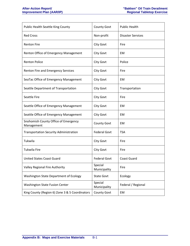| Public Health Seattle King County                  | County Govt             | <b>Public Health</b>     |
|----------------------------------------------------|-------------------------|--------------------------|
| <b>Red Cross</b>                                   | Non-profit              | <b>Disaster Services</b> |
| <b>Renton Fire</b>                                 | <b>City Govt</b>        | Fire                     |
| Renton Office of Emergency Management              | <b>City Govt</b>        | EM                       |
| <b>Renton Police</b>                               | <b>City Govt</b>        | Police                   |
| Renton Fire and Emergency Services                 | <b>City Govt</b>        | Fire                     |
| SeaTac Office of Emergency Management              | <b>City Govt</b>        | EM                       |
| Seattle Department of Transportation               | <b>City Govt</b>        | Transportation           |
| <b>Seattle Fire</b>                                | <b>City Govt</b>        | Fire                     |
| Seattle Office of Emergency Management             | <b>City Govt</b>        | EM                       |
| Seattle Office of Emergency Management             | <b>City Govt</b>        | EM                       |
| Snohomish County Office of Emergency<br>Management | County Govt             | EM                       |
| <b>Transportation Security Administration</b>      | <b>Federal Govt</b>     | <b>TSA</b>               |
| Tukwila                                            | City Govt               | Fire                     |
| <b>Tukwila Fire</b>                                | City Govt               | Fire                     |
| <b>United States Coast Guard</b>                   | <b>Federal Govt</b>     | <b>Coast Guard</b>       |
| <b>Valley Regional Fire Authority</b>              | Special<br>Municipality | Fire                     |
| Washington State Department of Ecology             | <b>State Govt</b>       | Ecology                  |
| <b>Washington State Fusion Center</b>              | Special<br>Municipality | Federal / Regional       |
| King County (Region 6) Zone 3 & 5 Coordinators     | County Govt             | EM                       |